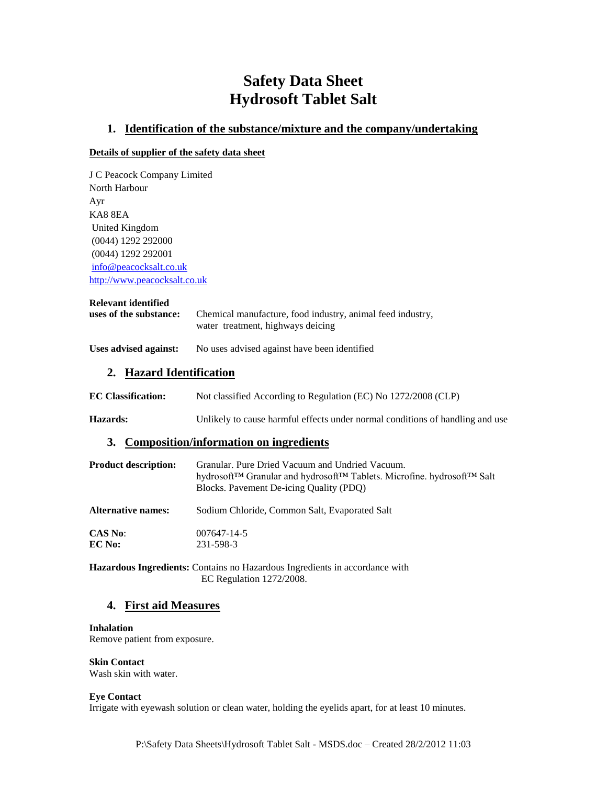# **Safety Data Sheet Hydrosoft Tablet Salt**

### **1. Identification of the substance/mixture and the company/undertaking**

### **Details of supplier of the safety data sheet**

J C Peacock Company Limited North Harbour Ayr KA8 8EA United Kingdom (0044) 1292 292000 (0044) 1292 292001 [info@peacocksalt.co.uk](mailto:info@peacocksalt.co.uk) [http://www.peacocksalt.co.uk](http://www.peacocksalt.co.uk/)

### **Relevant identified**

| uses of the substance: | Chemical manufacture, food industry, animal feed industry, |
|------------------------|------------------------------------------------------------|
|                        | water treatment, highways deicing                          |

### **Uses advised against:** No uses advised against have been identified

### **2. Hazard Identification**

| <b>EC Classification:</b> | Not classified According to Regulation (EC) No 1272/2008 (CLP) |
|---------------------------|----------------------------------------------------------------|
|                           |                                                                |

**Hazards:** Unlikely to cause harmful effects under normal conditions of handling and use

### **3. Composition/information on ingredients**

| <b>Product description:</b> | Granular, Pure Dried Vacuum and Undried Vacuum.<br>hydrosoft™ Granular and hydrosoft™ Tablets. Microfine. hydrosoft™ Salt<br>Blocks. Pavement De-icing Quality (PDQ) |
|-----------------------------|----------------------------------------------------------------------------------------------------------------------------------------------------------------------|
| <b>Alternative names:</b>   | Sodium Chloride, Common Salt, Evaporated Salt                                                                                                                        |
| <b>CAS No:</b>              | 007647-14-5                                                                                                                                                          |
| EC No:                      | 231-598-3                                                                                                                                                            |

**Hazardous Ingredients:** Contains no Hazardous Ingredients in accordance with EC Regulation 1272/2008.

### **4. First aid Measures**

#### **Inhalation**

Remove patient from exposure.

**Skin Contact** Wash skin with water.

#### **Eye Contact**

Irrigate with eyewash solution or clean water, holding the eyelids apart, for at least 10 minutes.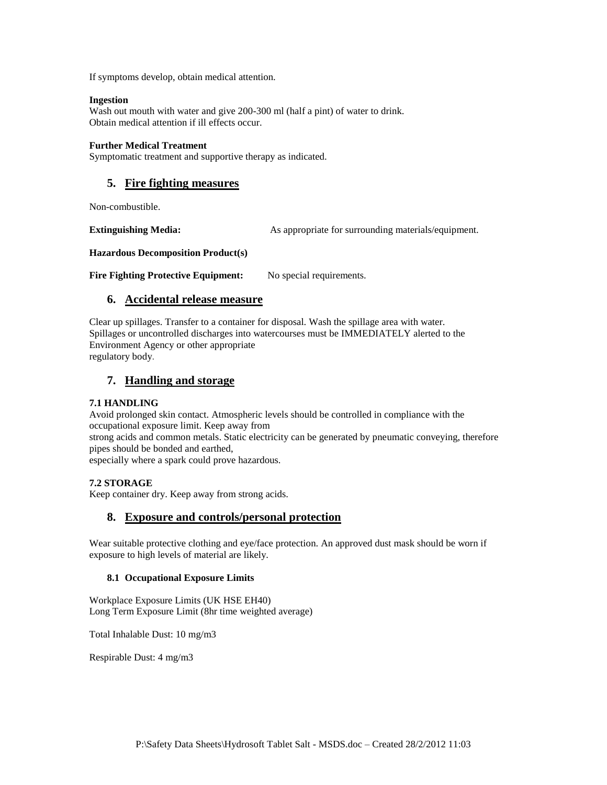If symptoms develop, obtain medical attention.

### **Ingestion**

Wash out mouth with water and give 200-300 ml (half a pint) of water to drink. Obtain medical attention if ill effects occur.

### **Further Medical Treatment**

Symptomatic treatment and supportive therapy as indicated.

# **5. Fire fighting measures**

Non-combustible.

**Extinguishing Media:** As appropriate for surrounding materials/equipment.

**Hazardous Decomposition Product(s)**

Fire Fighting Protective Equipment: No special requirements.

# **6. Accidental release measure**

Clear up spillages. Transfer to a container for disposal. Wash the spillage area with water. Spillages or uncontrolled discharges into watercourses must be IMMEDIATELY alerted to the Environment Agency or other appropriate regulatory body.

# **7. Handling and storage**

### **7.1 HANDLING**

Avoid prolonged skin contact. Atmospheric levels should be controlled in compliance with the occupational exposure limit. Keep away from

strong acids and common metals. Static electricity can be generated by pneumatic conveying, therefore pipes should be bonded and earthed,

especially where a spark could prove hazardous.

### **7.2 STORAGE**

Keep container dry. Keep away from strong acids.

### **8. Exposure and controls/personal protection**

Wear suitable protective clothing and eye/face protection. An approved dust mask should be worn if exposure to high levels of material are likely.

### **8.1 Occupational Exposure Limits**

Workplace Exposure Limits (UK HSE EH40) Long Term Exposure Limit (8hr time weighted average)

Total Inhalable Dust: 10 mg/m3

Respirable Dust: 4 mg/m3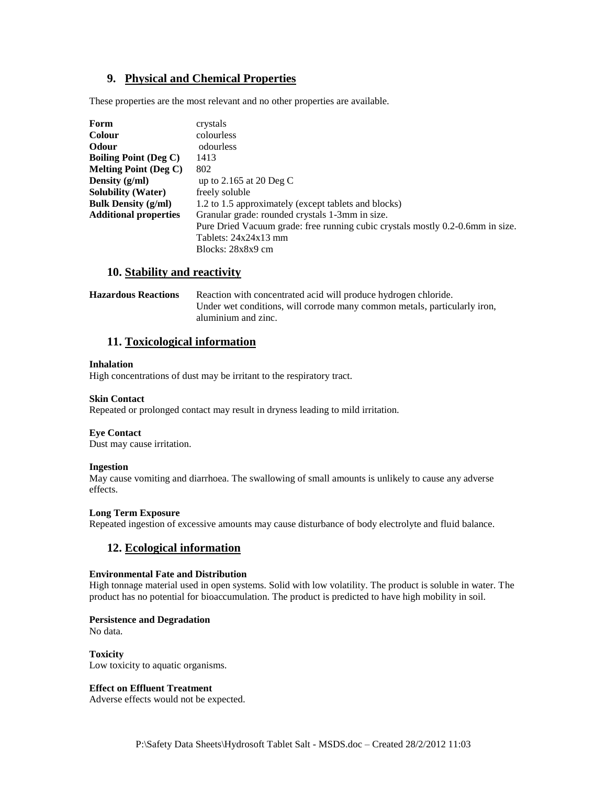# **9. Physical and Chemical Properties**

These properties are the most relevant and no other properties are available.

| Form                                    | crystals                                                                       |
|-----------------------------------------|--------------------------------------------------------------------------------|
| <b>Colour</b>                           | colourless                                                                     |
| <b>Odour</b>                            | odourless                                                                      |
| <b>Boiling Point (Deg C)</b>            | 1413                                                                           |
| <b>Melting Point (Deg C)</b>            | 802                                                                            |
| Density $(g/ml)$                        | up to 2.165 at 20 Deg C                                                        |
| <b>Solubility (Water)</b>               | freely soluble                                                                 |
| <b>Bulk Density <math>(g/ml)</math></b> | 1.2 to 1.5 approximately (except tablets and blocks)                           |
| <b>Additional properties</b>            | Granular grade: rounded crystals 1-3mm in size.                                |
|                                         | Pure Dried Vacuum grade: free running cubic crystals mostly 0.2-0.6mm in size. |
|                                         | Tablets: $24x24x13$ mm                                                         |
|                                         | Blocks: 28x8x9 cm                                                              |

### **10. Stability and reactivity**

| <b>Hazardous Reactions</b> | Reaction with concentrated acid will produce hydrogen chloride.           |
|----------------------------|---------------------------------------------------------------------------|
|                            | Under wet conditions, will corrode many common metals, particularly iron, |
|                            | aluminium and zinc.                                                       |

### **11. Toxicological information**

#### **Inhalation**

High concentrations of dust may be irritant to the respiratory tract.

### **Skin Contact**

Repeated or prolonged contact may result in dryness leading to mild irritation.

#### **Eye Contact**

Dust may cause irritation.

### **Ingestion**

May cause vomiting and diarrhoea. The swallowing of small amounts is unlikely to cause any adverse effects.

### **Long Term Exposure**

Repeated ingestion of excessive amounts may cause disturbance of body electrolyte and fluid balance.

# **12. Ecological information**

#### **Environmental Fate and Distribution**

High tonnage material used in open systems. Solid with low volatility. The product is soluble in water. The product has no potential for bioaccumulation. The product is predicted to have high mobility in soil.

### **Persistence and Degradation**

No data.

**Toxicity** Low toxicity to aquatic organisms.

### **Effect on Effluent Treatment**

Adverse effects would not be expected.